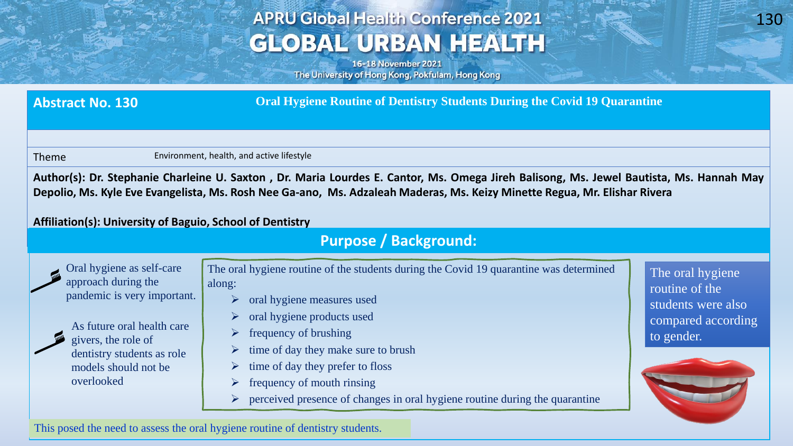# **APRU Global Health Conference 2021 GLOBAL URBAN HEALTH**

16-18 November 2021 The University of Hong Kong, Pokfulam, Hong Kong

**Abstract No. 130 Oral Hygiene Routine of Dentistry Students During the Covid 19 Quarantine**

Theme Environment, health, and active lifestyle

Author(s): Dr. Stephanie Charleine U. Saxton, Dr. Maria Lourdes E. Cantor, Ms. Omega Jireh Balisong, Ms. Jewel Bautista, Ms. Hannah May Depolio, Ms. Kyle Eve Evangelista, Ms. Rosh Nee Ga-ano, Ms. Adzaleah Maderas, Ms. Keizy Minette Regua, Mr. Elishar Rivera

### **Affiliation(s): University of Baguio, School of Dentistry**

### **Purpose / Background:**



**Age American** 

dentistry students as role

models should not be

overlooked

This posed the need to assess the oral hygiene routine of dentistry students.

- Oral hygiene as self-care approach during the pandemic is very important. As future oral health care givers, the role of The oral hygiene routine of the students during the Covid 19 quarantine was determined along: ➢ oral hygiene measures used ➢ oral hygiene products used frequency of brushing
	- time of day they make sure to brush
	- time of day they prefer to floss
	- frequency of mouth rinsing
	- ➢ perceived presence of changes in oral hygiene routine during the quarantine

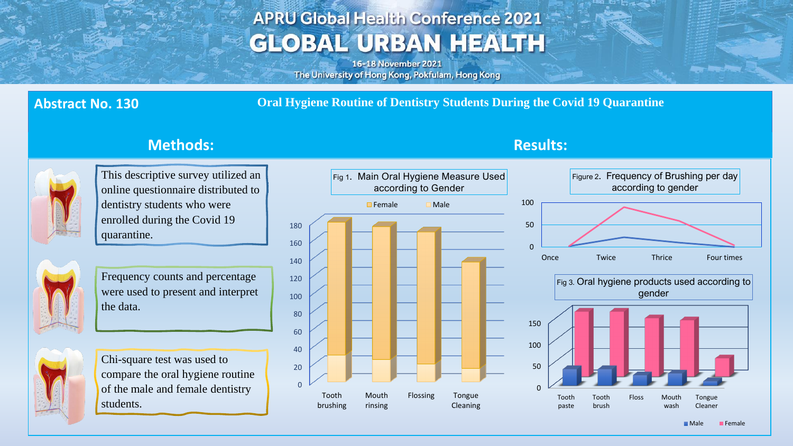# **APRU Global Health Conference 2021 GLOBAL URBAN HEALTH**

16-18 November 2021 The University of Hong Kong, Pokfulam, Hong Kong

**Abstract No. 130 Oral Hygiene Routine of Dentistry Students During the Covid 19 Quarantine**



This descriptive survey utilized an online questionnaire distributed to dentistry students who were enrolled during the Covid 19 quarantine.



Frequency counts and percentage were used to present and interpret the data.



Chi-square test was used to compare the oral hygiene routine of the male and female dentistry students.